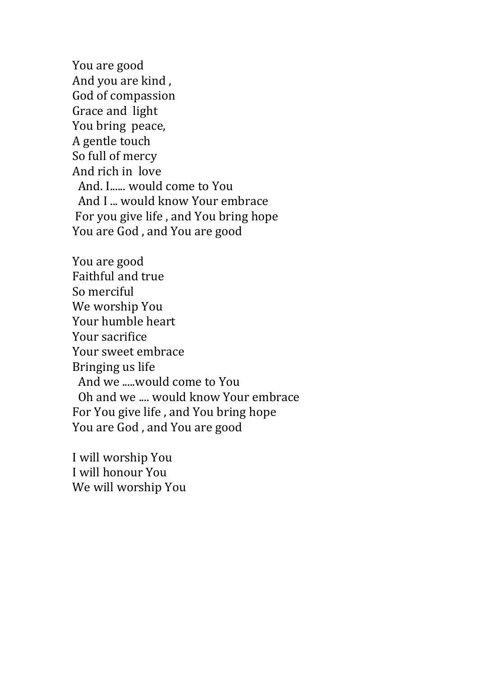You are good And you are kind , God of compassion Grace and light You bring peace, A gentle touch So full of mercy And rich in love And. I...... would come to You And I ... would know Your embrace For you give life , and You bring hope You are God , and You are good

You are good Faithful and true So merciful We worship You Your humble heart Your sacrifice Your sweet embrace Bringing us life And we .....would come to You Oh and we .... would know Your embrace For You give life , and You bring hope You are God , and You are good

I will worship You I will honour You We will worship You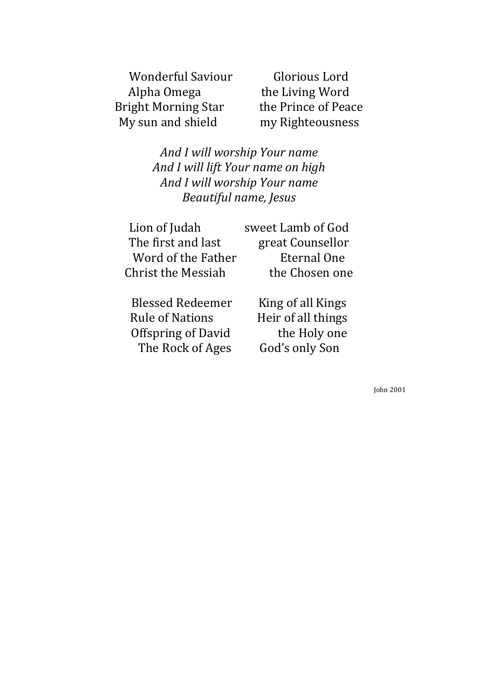Wonderful Saviour Glorious Lord<br>Alpha Omega the Living Word Bright Morning Star<br>My sun and shield

the Living Word<br>the Prince of Peace my Righteousness

*And I will worship Your name And I will lift Your name on high And I will worship Your name Beautiful name, Jesus*

| Lion of Judah      | sweet Lamb of God |
|--------------------|-------------------|
| The first and last | great Counsellor  |
| Word of the Father | Eternal One       |
| Christ the Messiah | the Chosen one    |
|                    |                   |

Offspring of David the Holy on<br>The Rock of Ages God's only Son The Rock of Ages

Blessed Redeemer King of all Kings<br>
Rule of Nations Heir of all things Heir of all things<br>the Holy one

John 2001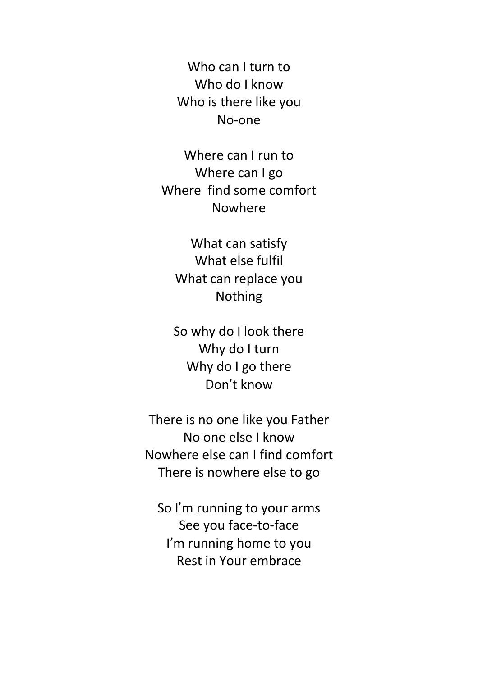Who can I turn to Who do I know Who is there like you No-one

Where can I run to Where can I go Where find some comfort Nowhere

What can satisfy What else fulfil What can replace you Nothing

So why do I look there Why do I turn Why do I go there Don't know

There is no one like you Father No one else I know Nowhere else can I find comfort There is nowhere else to go

So I'm running to your arms See you face-to-face I'm running home to you Rest in Your embrace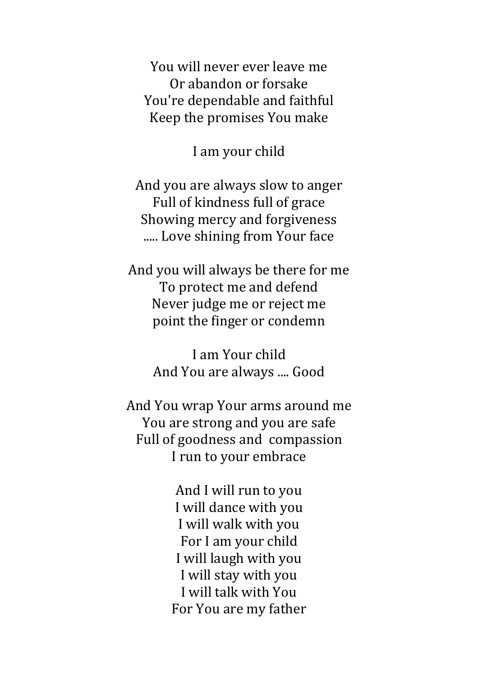You will never ever leave me Or abandon or forsake You're dependable and faithful Keep the promises You make

I am your child

And you are always slow to anger Full of kindness full of grace Showing mercy and forgiveness ..... Love shining from Your face

And you will always be there for me To protect me and defend Never judge me or reject me point the finger or condemn

> I am Your child And You are always .... Good

And You wrap Your arms around me You are strong and you are safe Full of goodness and compassion I run to your embrace

> And I will run to you I will dance with you I will walk with you For I am your child I will laugh with you I will stay with you I will talk with You For You are my father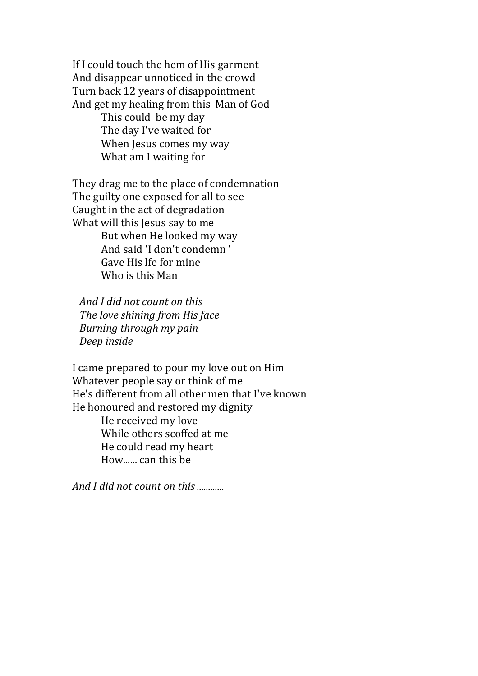If I could touch the hem of His garment And disappear unnoticed in the crowd Turn back 12 years of disappointment And get my healing from this Man of God This could be my day The day I've waited for When Jesus comes my way What am I waiting for

They drag me to the place of condemnation The guilty one exposed for all to see Caught in the act of degradation What will this Jesus say to me But when He looked my way And said 'I don't condemn ' Gave His lfe for mine Who is this Man

 *And I did not count on this The love shining from His face Burning through my pain Deep inside*

I came prepared to pour my love out on Him Whatever people say or think of me He's different from all other men that I've known He honoured and restored my dignity He received my love While others scoffed at me He could read my heart

How...... can this be

*And I did not count on this ............*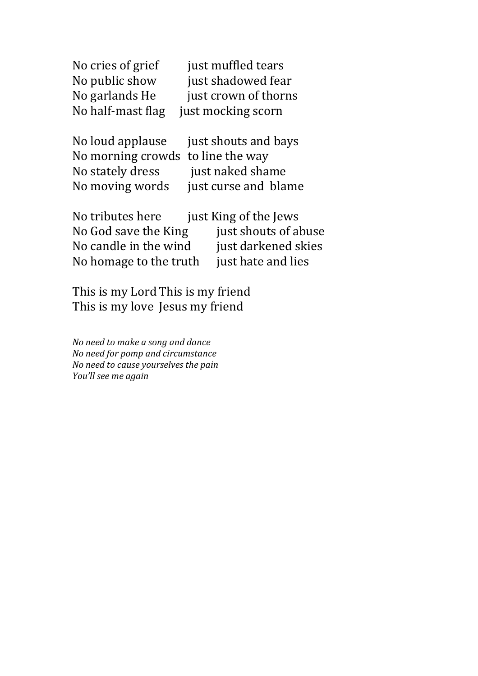| just muffled tears   |
|----------------------|
| just shadowed fear   |
| just crown of thorns |
| just mocking scorn   |
|                      |

| No loud applause just shouts and bays |
|---------------------------------------|
| No morning crowds to line the way     |
| just naked shame                      |
| just curse and blame                  |
|                                       |

| No tributes here       | just King of the Jews |
|------------------------|-----------------------|
| No God save the King   | just shouts of abuse  |
| No candle in the wind  | just darkened skies   |
| No homage to the truth | just hate and lies    |

This is my Lord This is my friend This is my love Jesus my friend

*No need to make a song and dance No need for pomp and circumstance No need to cause yourselves the pain You'll see me again*